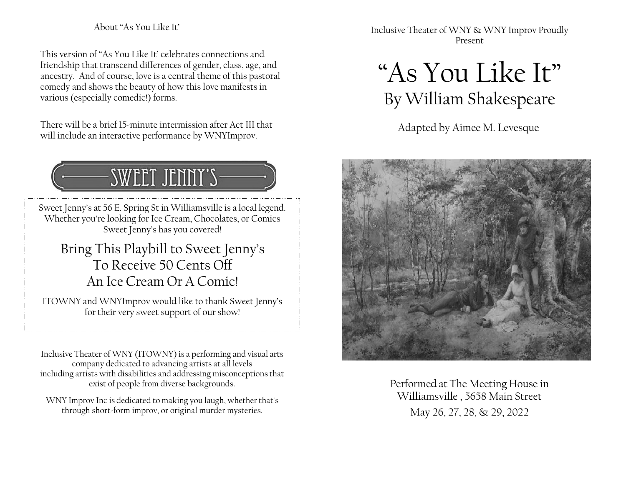### About "As You Like It'

This version of "As You Like It' celebrates connections and friendship that transcend differences of gender, class, age, and ancestry. And of course, love is a central theme of this pastoral comedy and shows the beauty of how this love manifests in various (especially comedic!) forms.

There will be a brief 15-minute intermission after Act III that will include an interactive performance by WNYImprov.

## SWEET JENNY'S

Sweet Jenny's at 56 E. Spring St in Williamsville is a local legend. Whether you're looking for Ice Cream, Chocolates, or Comics Sweet Jenny's has you covered!

### Bring This Playbill to Sweet Jenny's To Receive 50 Cents Off An Ice Cream Or A Comic!

ITOWNY and WNYImprov would like to thank Sweet Jenny's for their very sweet support of our show!

Inclusive Theater of WNY (ITOWNY) is a performing and visual arts company dedicated to advancing artists at all levels including artists with disabilities and addressing misconceptionsthat exist of people from diverse backgrounds.

WNY Improv Inc is dedicated to making you laugh, whether that's through short-form improv, or original murder mysteries.

Inclusive Theater of WNY & WNY Improv Proudly Present

# "As You Like It" By William Shakespeare

Adapted by Aimee M. Levesque



Performed at The Meeting House in Williamsville , 5658 Main Street May 26, 27, 28, & 29, 2022